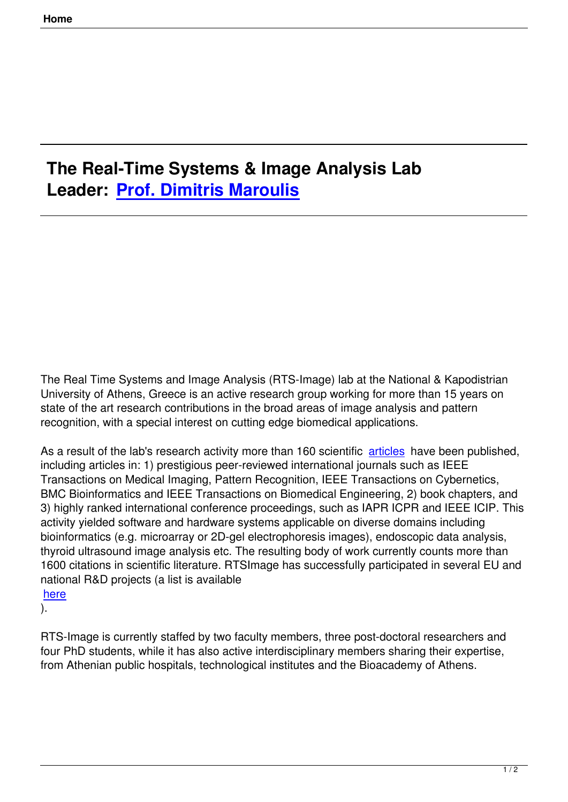## **The Real-Time Systems & Image Analysis Lab Leader: Prof. Dimitris Maroulis**

The Real Time Systems and Image Analysis (RTS-Image) lab at the National & Kapodistrian University of Athens, Greece is an active research group working for more than 15 years on state of the art research contributions in the broad areas of image analysis and pattern recognition, with a special interest on cutting edge biomedical applications.

As a result of the lab's research activity more than 160 scientific articles have been published, including articles in: 1) prestigious peer-reviewed international journals such as IEEE Transactions on Medical Imaging, Pattern Recognition, IEEE Transactions on Cybernetics, BMC Bioinformatics and IEEE Transactions on Biomedical Engi[neering,](index.php?option=com_content&view=article&id=68&Itemid=74) 2) book chapters, and 3) highly ranked international conference proceedings, such as IAPR ICPR and IEEE ICIP. This activity yielded software and hardware systems applicable on diverse domains including bioinformatics (e.g. microarray or 2D-gel electrophoresis images), endoscopic data analysis, thyroid ultrasound image analysis etc. The resulting body of work currently counts more than 1600 citations in scientific literature. RTSImage has successfully participated in several EU and national R&D projects (a list is available

here

).

[RTS-](index.php?option=com_content&view=article&id=69&Itemid=76)Image is currently staffed by two faculty members, three post-doctoral researchers and four PhD students, while it has also active interdisciplinary members sharing their expertise, from Athenian public hospitals, technological institutes and the Bioacademy of Athens.